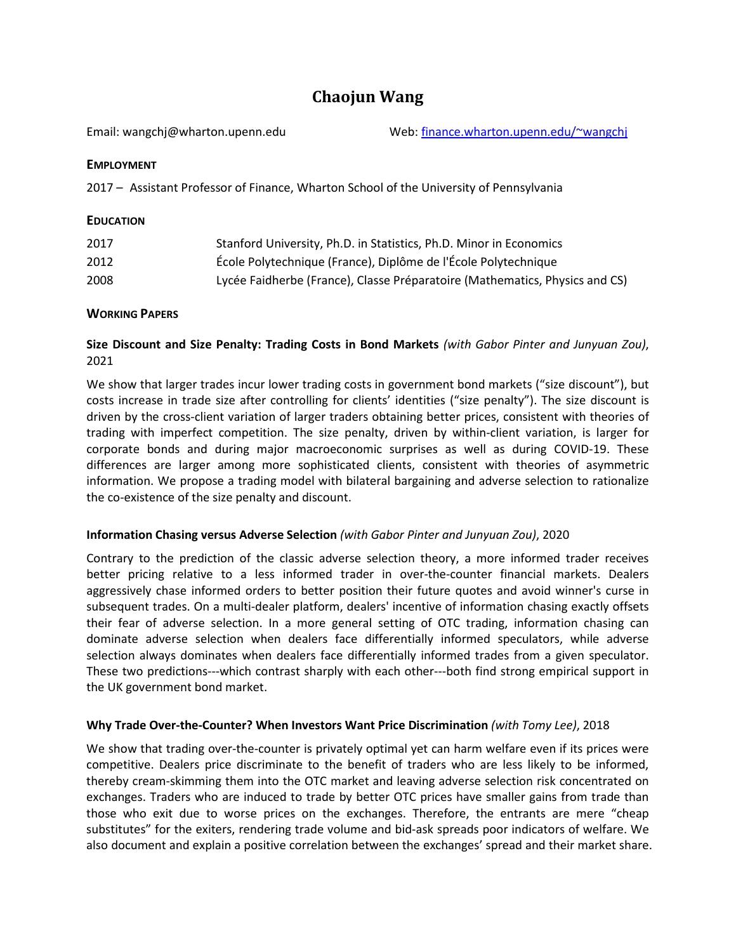# **Chaojun Wang**

Email: wangchj@wharton.upenn.edu Web[: finance.wharton.upenn.edu/~wangchj](http://finance.wharton.upenn.edu/%7Ewangchj)

## **EMPLOYMENT**

2017 – Assistant Professor of Finance, Wharton School of the University of Pennsylvania

# **EDUCATION**

| 2017 | Stanford University, Ph.D. in Statistics, Ph.D. Minor in Economics          |
|------|-----------------------------------------------------------------------------|
| 2012 | École Polytechnique (France), Diplôme de l'École Polytechnique              |
| 2008 | Lycée Faidherbe (France), Classe Préparatoire (Mathematics, Physics and CS) |

# **WORKING PAPERS**

# **Size Discount and Size Penalty: Trading Costs in Bond Markets** *(with Gabor Pinter and Junyuan Zou)*, 2021

We show that larger trades incur lower trading costs in government bond markets ("size discount"), but costs increase in trade size after controlling for clients' identities ("size penalty"). The size discount is driven by the cross-client variation of larger traders obtaining better prices, consistent with theories of trading with imperfect competition. The size penalty, driven by within-client variation, is larger for corporate bonds and during major macroeconomic surprises as well as during COVID-19. These differences are larger among more sophisticated clients, consistent with theories of asymmetric information. We propose a trading model with bilateral bargaining and adverse selection to rationalize the co-existence of the size penalty and discount.

## **Information Chasing versus Adverse Selection** *(with Gabor Pinter and Junyuan Zou)*, 2020

Contrary to the prediction of the classic adverse selection theory, a more informed trader receives better pricing relative to a less informed trader in over-the-counter financial markets. Dealers aggressively chase informed orders to better position their future quotes and avoid winner's curse in subsequent trades. On a multi-dealer platform, dealers' incentive of information chasing exactly offsets their fear of adverse selection. In a more general setting of OTC trading, information chasing can dominate adverse selection when dealers face differentially informed speculators, while adverse selection always dominates when dealers face differentially informed trades from a given speculator. These two predictions---which contrast sharply with each other---both find strong empirical support in the UK government bond market.

# **Why Trade Over-the-Counter? When Investors Want Price Discrimination** *(with Tomy Lee)*, 2018

We show that trading over-the-counter is privately optimal yet can harm welfare even if its prices were competitive. Dealers price discriminate to the benefit of traders who are less likely to be informed, thereby cream-skimming them into the OTC market and leaving adverse selection risk concentrated on exchanges. Traders who are induced to trade by better OTC prices have smaller gains from trade than those who exit due to worse prices on the exchanges. Therefore, the entrants are mere "cheap substitutes" for the exiters, rendering trade volume and bid-ask spreads poor indicators of welfare. We also document and explain a positive correlation between the exchanges' spread and their market share.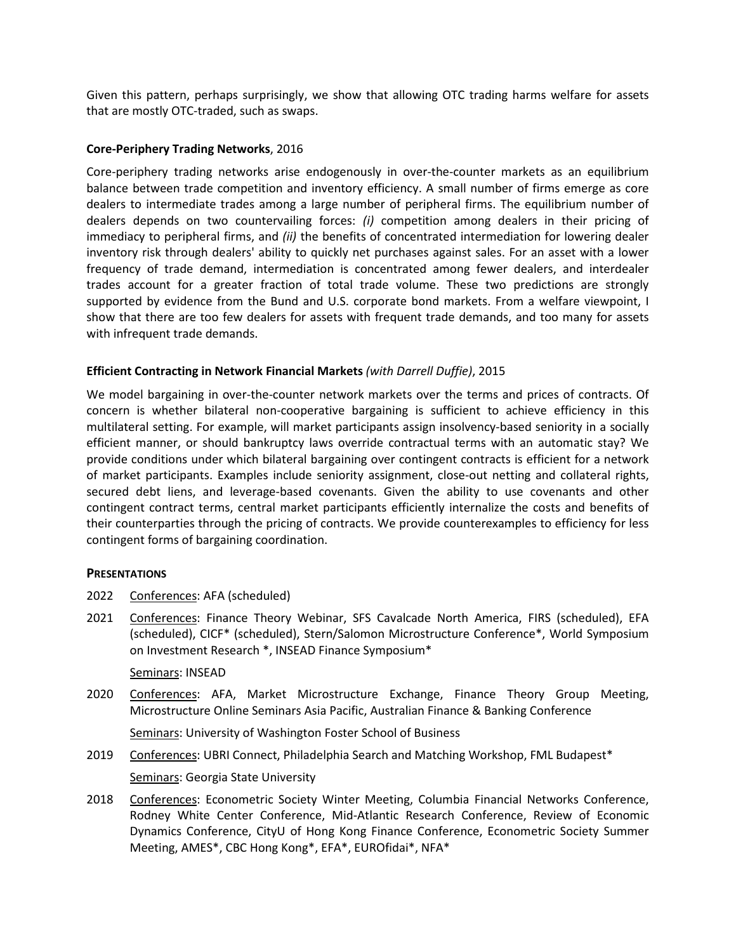Given this pattern, perhaps surprisingly, we show that allowing OTC trading harms welfare for assets that are mostly OTC-traded, such as swaps.

#### **Core-Periphery Trading Networks**, 2016

Core-periphery trading networks arise endogenously in over-the-counter markets as an equilibrium balance between trade competition and inventory efficiency. A small number of firms emerge as core dealers to intermediate trades among a large number of peripheral firms. The equilibrium number of dealers depends on two countervailing forces: *(i)* competition among dealers in their pricing of immediacy to peripheral firms, and *(ii)* the benefits of concentrated intermediation for lowering dealer inventory risk through dealers' ability to quickly net purchases against sales. For an asset with a lower frequency of trade demand, intermediation is concentrated among fewer dealers, and interdealer trades account for a greater fraction of total trade volume. These two predictions are strongly supported by evidence from the Bund and U.S. corporate bond markets. From a welfare viewpoint, I show that there are too few dealers for assets with frequent trade demands, and too many for assets with infrequent trade demands.

#### **Efficient Contracting in Network Financial Markets** *(with Darrell Duffie)*, 2015

We model bargaining in over-the-counter network markets over the terms and prices of contracts. Of concern is whether bilateral non-cooperative bargaining is sufficient to achieve efficiency in this multilateral setting. For example, will market participants assign insolvency-based seniority in a socially efficient manner, or should bankruptcy laws override contractual terms with an automatic stay? We provide conditions under which bilateral bargaining over contingent contracts is efficient for a network of market participants. Examples include seniority assignment, close-out netting and collateral rights, secured debt liens, and leverage-based covenants. Given the ability to use covenants and other contingent contract terms, central market participants efficiently internalize the costs and benefits of their counterparties through the pricing of contracts. We provide counterexamples to efficiency for less contingent forms of bargaining coordination.

#### **PRESENTATIONS**

- 2022 Conferences: AFA (scheduled)
- 2021 Conferences: Finance Theory Webinar, SFS Cavalcade North America, FIRS (scheduled), EFA (scheduled), CICF\* (scheduled), Stern/Salomon Microstructure Conference\*, World Symposium on Investment Research \*, INSEAD Finance Symposium\*

#### Seminars: INSEAD

2020 Conferences: AFA, Market Microstructure Exchange, Finance Theory Group Meeting, Microstructure Online Seminars Asia Pacific, Australian Finance & Banking Conference

Seminars: University of Washington Foster School of Business

- 2019 Conferences: UBRI Connect, Philadelphia Search and Matching Workshop, FML Budapest\* Seminars: Georgia State University
- 2018 Conferences: Econometric Society Winter Meeting, Columbia Financial Networks Conference, Rodney White Center Conference, Mid-Atlantic Research Conference, Review of Economic Dynamics Conference, CityU of Hong Kong Finance Conference, Econometric Society Summer Meeting, AMES\*, CBC Hong Kong\*, EFA\*, EUROfidai\*, NFA\*